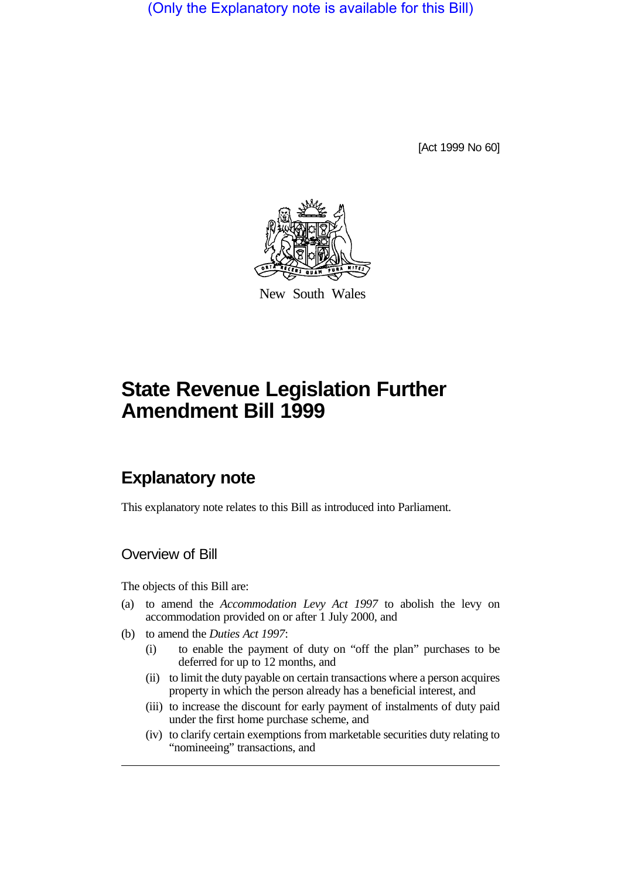(Only the Explanatory note is available for this Bill)

[Act 1999 No 60]



New South Wales

# **State Revenue Legislation Further Amendment Bill 1999**

# **Explanatory note**

This explanatory note relates to this Bill as introduced into Parliament.

## Overview of Bill

The objects of this Bill are:

- (a) to amend the *Accommodation Levy Act 1997* to abolish the levy on accommodation provided on or after 1 July 2000, and
- (b) to amend the *Duties Act 1997*:
	- (i) to enable the payment of duty on "off the plan" purchases to be deferred for up to 12 months, and
	- (ii) to limit the duty payable on certain transactions where a person acquires property in which the person already has a beneficial interest, and
	- (iii) to increase the discount for early payment of instalments of duty paid under the first home purchase scheme, and
	- (iv) to clarify certain exemptions from marketable securities duty relating to "nomineeing" transactions, and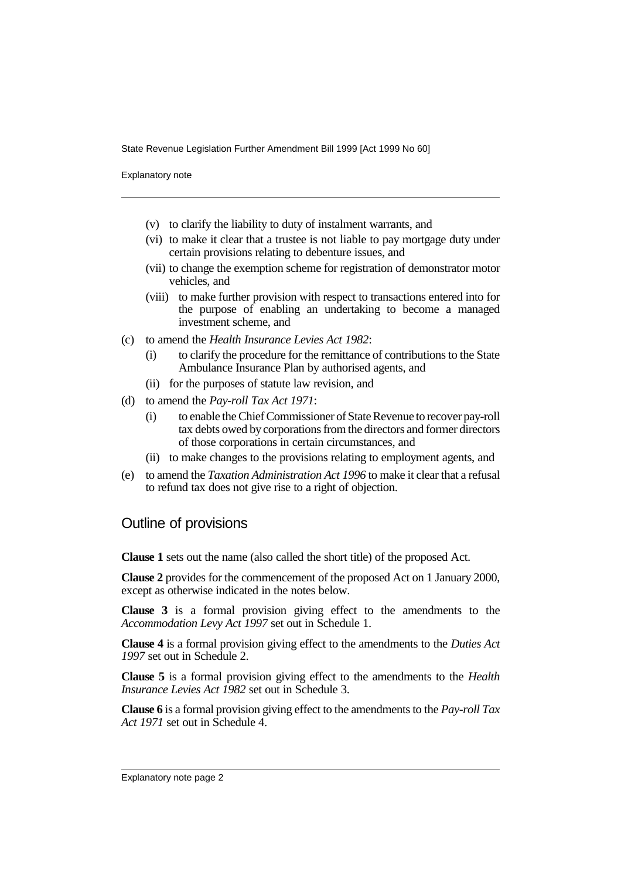Explanatory note

- (v) to clarify the liability to duty of instalment warrants, and
- (vi) to make it clear that a trustee is not liable to pay mortgage duty under certain provisions relating to debenture issues, and
- (vii) to change the exemption scheme for registration of demonstrator motor vehicles, and
- (viii) to make further provision with respect to transactions entered into for the purpose of enabling an undertaking to become a managed investment scheme, and
- (c) to amend the *Health Insurance Levies Act 1982*:
	- (i) to clarify the procedure for the remittance of contributions to the State Ambulance Insurance Plan by authorised agents, and
	- (ii) for the purposes of statute law revision, and
- (d) to amend the *Pay-roll Tax Act 1971*:
	- (i) to enable the Chief Commissioner of State Revenue to recover pay-roll tax debts owed by corporations from the directors and former directors of those corporations in certain circumstances, and
	- (ii) to make changes to the provisions relating to employment agents, and
- (e) to amend the *Taxation Administration Act 1996* to make it clear that a refusal to refund tax does not give rise to a right of objection.

### Outline of provisions

**Clause 1** sets out the name (also called the short title) of the proposed Act.

**Clause 2** provides for the commencement of the proposed Act on 1 January 2000, except as otherwise indicated in the notes below.

**Clause 3** is a formal provision giving effect to the amendments to the *Accommodation Levy Act 1997* set out in Schedule 1.

**Clause 4** is a formal provision giving effect to the amendments to the *Duties Act 1997* set out in Schedule 2.

**Clause 5** is a formal provision giving effect to the amendments to the *Health Insurance Levies Act 1982* set out in Schedule 3.

**Clause 6** is a formal provision giving effect to the amendments to the *Pay-roll Tax Act 1971* set out in Schedule 4.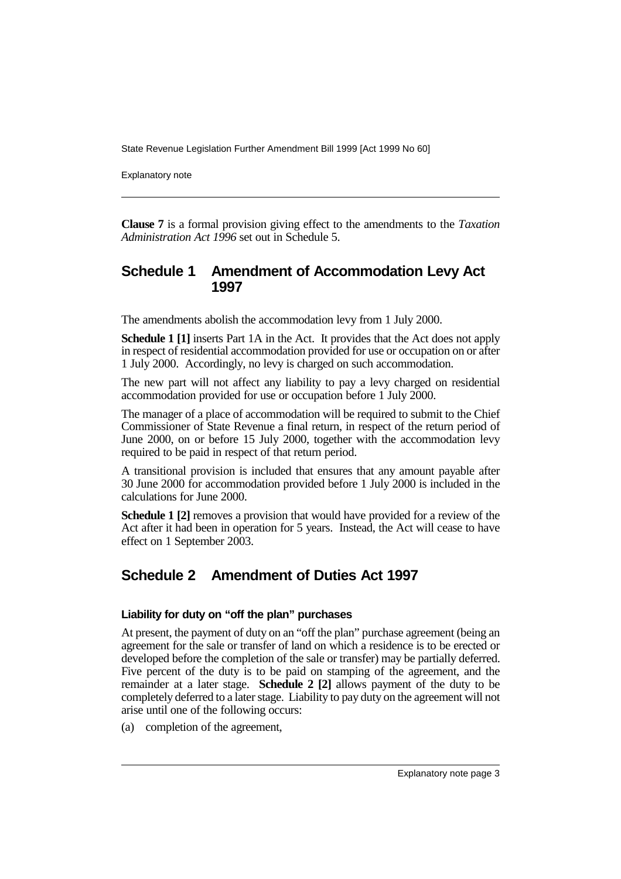Explanatory note

**Clause 7** is a formal provision giving effect to the amendments to the *Taxation Administration Act 1996* set out in Schedule 5.

### **Schedule 1 Amendment of Accommodation Levy Act 1997**

The amendments abolish the accommodation levy from 1 July 2000.

**Schedule 1 [1]** inserts Part 1A in the Act. It provides that the Act does not apply in respect of residential accommodation provided for use or occupation on or after 1 July 2000. Accordingly, no levy is charged on such accommodation.

The new part will not affect any liability to pay a levy charged on residential accommodation provided for use or occupation before 1 July 2000.

The manager of a place of accommodation will be required to submit to the Chief Commissioner of State Revenue a final return, in respect of the return period of June 2000, on or before 15 July 2000, together with the accommodation levy required to be paid in respect of that return period.

A transitional provision is included that ensures that any amount payable after 30 June 2000 for accommodation provided before 1 July 2000 is included in the calculations for June 2000.

**Schedule 1 [2]** removes a provision that would have provided for a review of the Act after it had been in operation for 5 years. Instead, the Act will cease to have effect on 1 September 2003.

# **Schedule 2 Amendment of Duties Act 1997**

#### **Liability for duty on "off the plan" purchases**

At present, the payment of duty on an "off the plan" purchase agreement (being an agreement for the sale or transfer of land on which a residence is to be erected or developed before the completion of the sale or transfer) may be partially deferred. Five percent of the duty is to be paid on stamping of the agreement, and the remainder at a later stage. **Schedule 2 [2]** allows payment of the duty to be completely deferred to a later stage. Liability to pay duty on the agreement will not arise until one of the following occurs:

(a) completion of the agreement,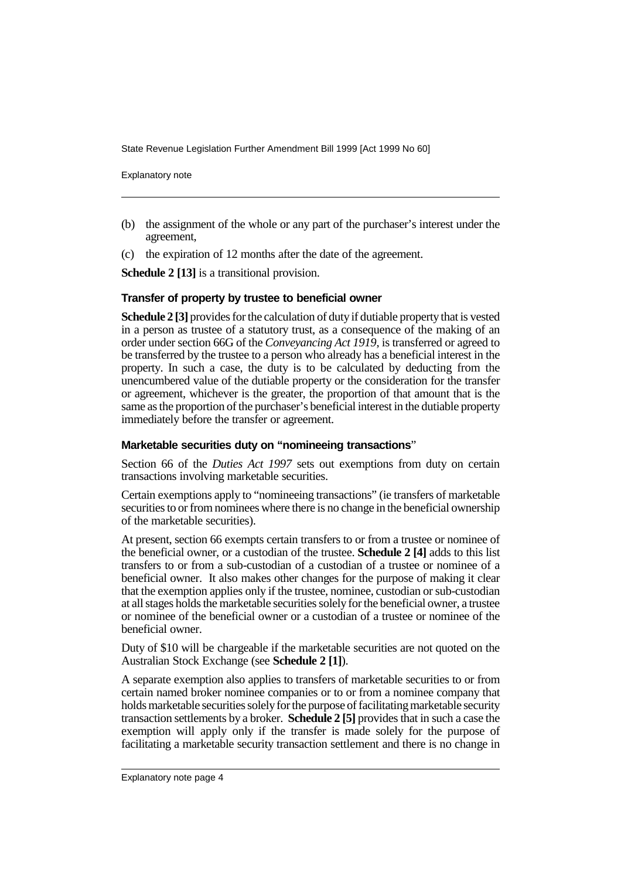Explanatory note

- (b) the assignment of the whole or any part of the purchaser's interest under the agreement,
- (c) the expiration of 12 months after the date of the agreement.

**Schedule 2 [13]** is a transitional provision.

#### **Transfer of property by trustee to beneficial owner**

**Schedule 2 [3]** provides for the calculation of duty if dutiable property that is vested in a person as trustee of a statutory trust, as a consequence of the making of an order under section 66G of the *Conveyancing Act 1919*, is transferred or agreed to be transferred by the trustee to a person who already has a beneficial interest in the property. In such a case, the duty is to be calculated by deducting from the unencumbered value of the dutiable property or the consideration for the transfer or agreement, whichever is the greater, the proportion of that amount that is the same as the proportion of the purchaser's beneficial interest in the dutiable property immediately before the transfer or agreement.

#### **Marketable securities duty on "nomineeing transactions**"

Section 66 of the *Duties Act 1997* sets out exemptions from duty on certain transactions involving marketable securities.

Certain exemptions apply to "nomineeing transactions" (ie transfers of marketable securities to or from nominees where there is no change in the beneficial ownership of the marketable securities).

At present, section 66 exempts certain transfers to or from a trustee or nominee of the beneficial owner, or a custodian of the trustee. **Schedule 2 [4]** adds to this list transfers to or from a sub-custodian of a custodian of a trustee or nominee of a beneficial owner. It also makes other changes for the purpose of making it clear that the exemption applies only if the trustee, nominee, custodian or sub-custodian at all stages holds the marketable securities solely for the beneficial owner, a trustee or nominee of the beneficial owner or a custodian of a trustee or nominee of the beneficial owner.

Duty of \$10 will be chargeable if the marketable securities are not quoted on the Australian Stock Exchange (see **Schedule 2 [1]**).

A separate exemption also applies to transfers of marketable securities to or from certain named broker nominee companies or to or from a nominee company that holds marketable securities solely for the purpose of facilitating marketable security transaction settlements by a broker. **Schedule 2 [5]** provides that in such a case the exemption will apply only if the transfer is made solely for the purpose of facilitating a marketable security transaction settlement and there is no change in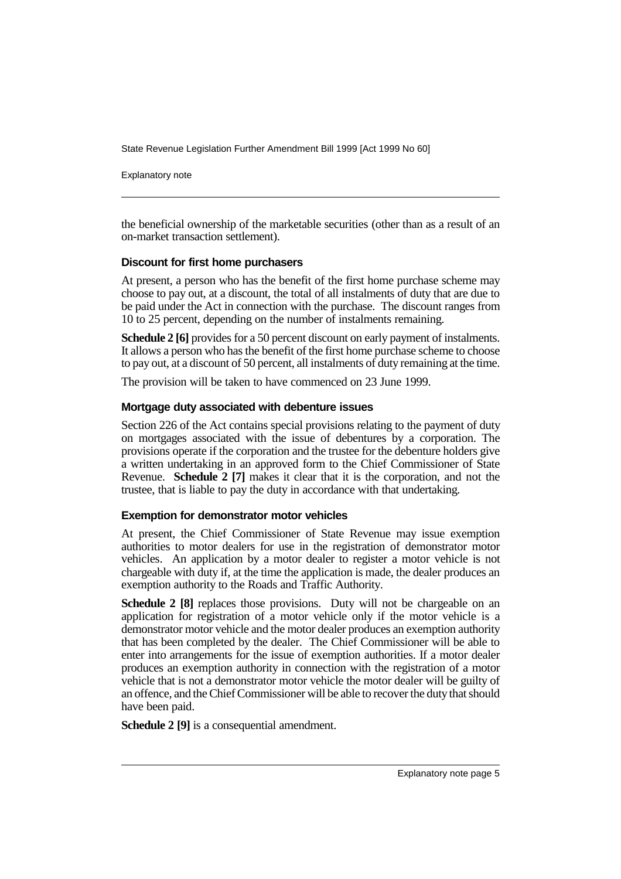Explanatory note

the beneficial ownership of the marketable securities (other than as a result of an on-market transaction settlement).

#### **Discount for first home purchasers**

At present, a person who has the benefit of the first home purchase scheme may choose to pay out, at a discount, the total of all instalments of duty that are due to be paid under the Act in connection with the purchase. The discount ranges from 10 to 25 percent, depending on the number of instalments remaining.

**Schedule 2 [6]** provides for a 50 percent discount on early payment of instalments. It allows a person who has the benefit of the first home purchase scheme to choose to pay out, at a discount of 50 percent, all instalments of duty remaining at the time.

The provision will be taken to have commenced on 23 June 1999.

#### **Mortgage duty associated with debenture issues**

Section 226 of the Act contains special provisions relating to the payment of duty on mortgages associated with the issue of debentures by a corporation. The provisions operate if the corporation and the trustee for the debenture holders give a written undertaking in an approved form to the Chief Commissioner of State Revenue. **Schedule 2 [7]** makes it clear that it is the corporation, and not the trustee, that is liable to pay the duty in accordance with that undertaking.

#### **Exemption for demonstrator motor vehicles**

At present, the Chief Commissioner of State Revenue may issue exemption authorities to motor dealers for use in the registration of demonstrator motor vehicles. An application by a motor dealer to register a motor vehicle is not chargeable with duty if, at the time the application is made, the dealer produces an exemption authority to the Roads and Traffic Authority.

**Schedule 2 [8]** replaces those provisions. Duty will not be chargeable on an application for registration of a motor vehicle only if the motor vehicle is a demonstrator motor vehicle and the motor dealer produces an exemption authority that has been completed by the dealer. The Chief Commissioner will be able to enter into arrangements for the issue of exemption authorities. If a motor dealer produces an exemption authority in connection with the registration of a motor vehicle that is not a demonstrator motor vehicle the motor dealer will be guilty of an offence, and the Chief Commissioner will be able to recover the duty that should have been paid.

**Schedule 2 [9]** is a consequential amendment.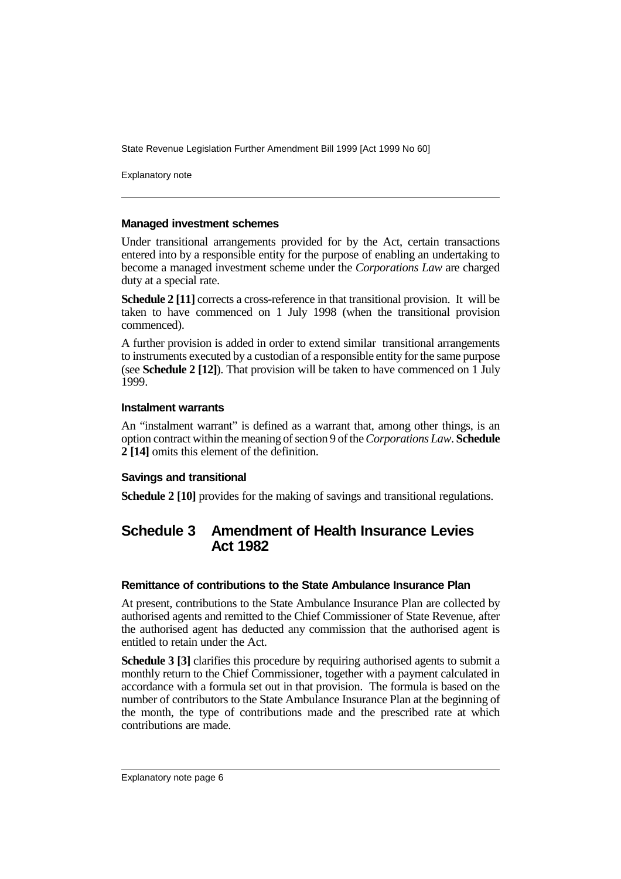Explanatory note

#### **Managed investment schemes**

Under transitional arrangements provided for by the Act, certain transactions entered into by a responsible entity for the purpose of enabling an undertaking to become a managed investment scheme under the *Corporations Law* are charged duty at a special rate.

**Schedule 2** [11] corrects a cross-reference in that transitional provision. It will be taken to have commenced on 1 July 1998 (when the transitional provision commenced).

A further provision is added in order to extend similar transitional arrangements to instruments executed by a custodian of a responsible entity for the same purpose (see **Schedule 2 [12]**). That provision will be taken to have commenced on 1 July 1999.

#### **Instalment warrants**

An "instalment warrant" is defined as a warrant that, among other things, is an option contract within the meaning of section 9 of the *Corporations Law*. **Schedule 2 [14]** omits this element of the definition.

#### **Savings and transitional**

**Schedule 2 [10]** provides for the making of savings and transitional regulations.

# **Schedule 3 Amendment of Health Insurance Levies Act 1982**

#### **Remittance of contributions to the State Ambulance Insurance Plan**

At present, contributions to the State Ambulance Insurance Plan are collected by authorised agents and remitted to the Chief Commissioner of State Revenue, after the authorised agent has deducted any commission that the authorised agent is entitled to retain under the Act.

**Schedule 3 [3]** clarifies this procedure by requiring authorised agents to submit a monthly return to the Chief Commissioner, together with a payment calculated in accordance with a formula set out in that provision. The formula is based on the number of contributors to the State Ambulance Insurance Plan at the beginning of the month, the type of contributions made and the prescribed rate at which contributions are made.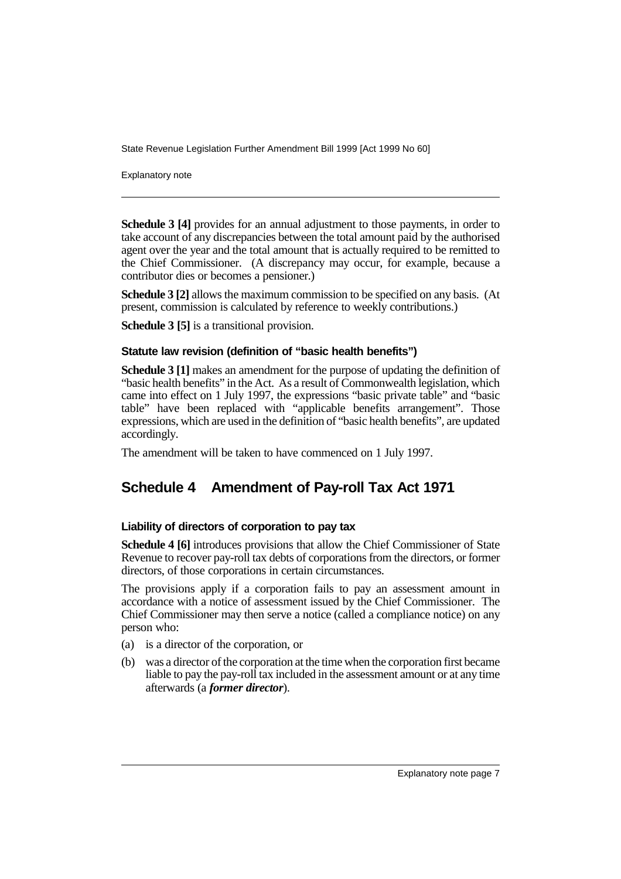Explanatory note

**Schedule 3 [4]** provides for an annual adjustment to those payments, in order to take account of any discrepancies between the total amount paid by the authorised agent over the year and the total amount that is actually required to be remitted to the Chief Commissioner. (A discrepancy may occur, for example, because a contributor dies or becomes a pensioner.)

**Schedule 3 [2]** allows the maximum commission to be specified on any basis. (At present, commission is calculated by reference to weekly contributions.)

**Schedule 3 [5]** is a transitional provision.

#### **Statute law revision (definition of "basic health benefits")**

**Schedule 3 [1]** makes an amendment for the purpose of updating the definition of "basic health benefits" in the Act. As a result of Commonwealth legislation, which came into effect on 1 July 1997, the expressions "basic private table" and "basic table" have been replaced with "applicable benefits arrangement". Those expressions, which are used in the definition of "basic health benefits", are updated accordingly.

The amendment will be taken to have commenced on 1 July 1997.

# **Schedule 4 Amendment of Pay-roll Tax Act 1971**

#### **Liability of directors of corporation to pay tax**

**Schedule 4 [6]** introduces provisions that allow the Chief Commissioner of State Revenue to recover pay-roll tax debts of corporations from the directors, or former directors, of those corporations in certain circumstances.

The provisions apply if a corporation fails to pay an assessment amount in accordance with a notice of assessment issued by the Chief Commissioner. The Chief Commissioner may then serve a notice (called a compliance notice) on any person who:

- (a) is a director of the corporation, or
- (b) was a director of the corporation at the time when the corporation first became liable to pay the pay-roll tax included in the assessment amount or at any time afterwards (a *former director*).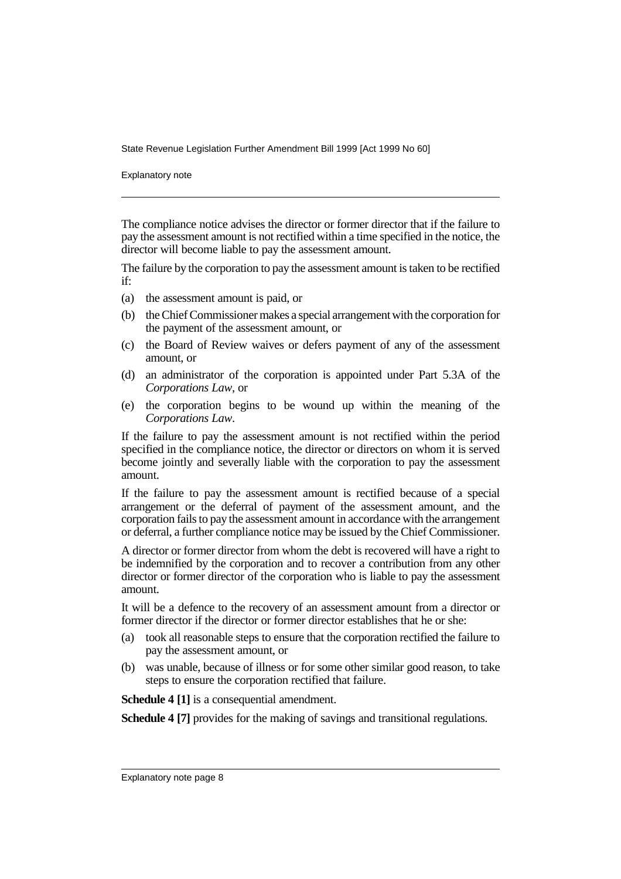Explanatory note

The compliance notice advises the director or former director that if the failure to pay the assessment amount is not rectified within a time specified in the notice, the director will become liable to pay the assessment amount.

The failure by the corporation to pay the assessment amount is taken to be rectified if:

- (a) the assessment amount is paid, or
- (b) the Chief Commissioner makes a special arrangement with the corporation for the payment of the assessment amount, or
- (c) the Board of Review waives or defers payment of any of the assessment amount, or
- (d) an administrator of the corporation is appointed under Part 5.3A of the *Corporations Law*, or
- (e) the corporation begins to be wound up within the meaning of the *Corporations Law*.

If the failure to pay the assessment amount is not rectified within the period specified in the compliance notice, the director or directors on whom it is served become jointly and severally liable with the corporation to pay the assessment amount.

If the failure to pay the assessment amount is rectified because of a special arrangement or the deferral of payment of the assessment amount, and the corporation fails to pay the assessment amount in accordance with the arrangement or deferral, a further compliance notice may be issued by the Chief Commissioner.

A director or former director from whom the debt is recovered will have a right to be indemnified by the corporation and to recover a contribution from any other director or former director of the corporation who is liable to pay the assessment amount.

It will be a defence to the recovery of an assessment amount from a director or former director if the director or former director establishes that he or she:

- (a) took all reasonable steps to ensure that the corporation rectified the failure to pay the assessment amount, or
- (b) was unable, because of illness or for some other similar good reason, to take steps to ensure the corporation rectified that failure.

**Schedule 4 [1]** is a consequential amendment.

**Schedule 4 [7]** provides for the making of savings and transitional regulations.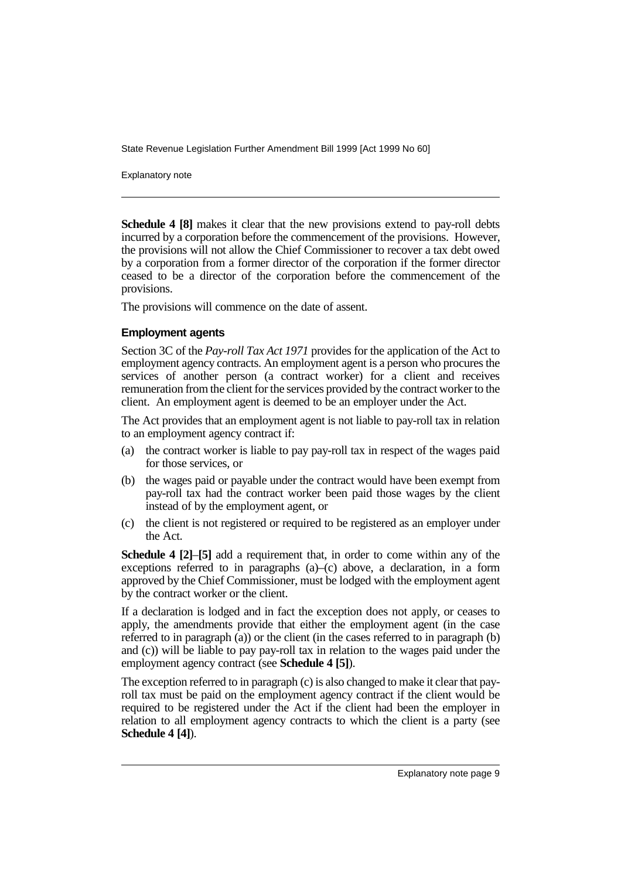Explanatory note

**Schedule 4 [8]** makes it clear that the new provisions extend to pay-roll debts incurred by a corporation before the commencement of the provisions. However, the provisions will not allow the Chief Commissioner to recover a tax debt owed by a corporation from a former director of the corporation if the former director ceased to be a director of the corporation before the commencement of the provisions.

The provisions will commence on the date of assent.

#### **Employment agents**

Section 3C of the *Pay-roll Tax Act 1971* provides for the application of the Act to employment agency contracts. An employment agent is a person who procures the services of another person (a contract worker) for a client and receives remuneration from the client for the services provided by the contract worker to the client. An employment agent is deemed to be an employer under the Act.

The Act provides that an employment agent is not liable to pay-roll tax in relation to an employment agency contract if:

- (a) the contract worker is liable to pay pay-roll tax in respect of the wages paid for those services, or
- (b) the wages paid or payable under the contract would have been exempt from pay-roll tax had the contract worker been paid those wages by the client instead of by the employment agent, or
- (c) the client is not registered or required to be registered as an employer under the Act.

**Schedule 4 [2]**–**[5]** add a requirement that, in order to come within any of the exceptions referred to in paragraphs (a)–(c) above, a declaration, in a form approved by the Chief Commissioner, must be lodged with the employment agent by the contract worker or the client.

If a declaration is lodged and in fact the exception does not apply, or ceases to apply, the amendments provide that either the employment agent (in the case referred to in paragraph  $(a)$ ) or the client (in the cases referred to in paragraph  $(b)$ ) and (c)) will be liable to pay pay-roll tax in relation to the wages paid under the employment agency contract (see **Schedule 4 [5]**).

The exception referred to in paragraph (c) is also changed to make it clear that payroll tax must be paid on the employment agency contract if the client would be required to be registered under the Act if the client had been the employer in relation to all employment agency contracts to which the client is a party (see **Schedule 4 [4]**).